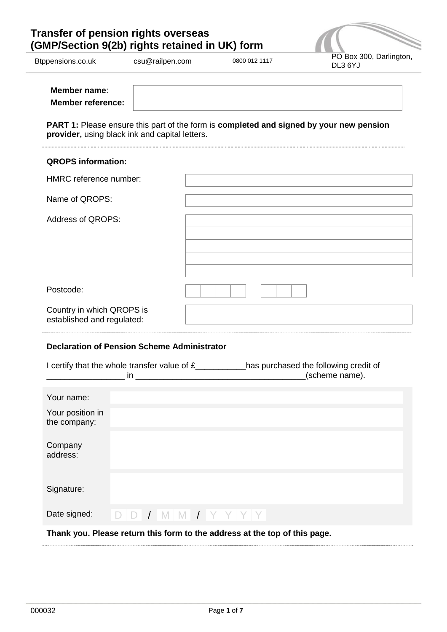# **Transfer of pension rights overseas (GMP/Section 9(2b) rights retained in UK) form**



| Member name:             |  |
|--------------------------|--|
| <b>Member reference:</b> |  |

**PART 1:** Please ensure this part of the form is **completed and signed by your new pension provider,** using black ink and capital letters.

| <b>QROPS information:</b>                               |  |
|---------------------------------------------------------|--|
| HMRC reference number:                                  |  |
| Name of QROPS:                                          |  |
| <b>Address of QROPS:</b>                                |  |
| Postcode:                                               |  |
| Country in which QROPS is<br>established and regulated: |  |

## **Declaration of Pension Scheme Administrator**

|                                                                            | in.                 | I certify that the whole transfer value of £____________has purchased the following credit of<br>(scheme name).<br><u> 1980 - Jan Sarah Barat, masjid a</u> |  |  |  |
|----------------------------------------------------------------------------|---------------------|-------------------------------------------------------------------------------------------------------------------------------------------------------------|--|--|--|
| Your name:                                                                 |                     |                                                                                                                                                             |  |  |  |
| Your position in<br>the company:                                           |                     |                                                                                                                                                             |  |  |  |
| Company<br>address:                                                        |                     |                                                                                                                                                             |  |  |  |
| Signature:                                                                 |                     |                                                                                                                                                             |  |  |  |
| Date signed:                                                               | $D D J M M J Y Y Y$ |                                                                                                                                                             |  |  |  |
| Thank you. Please return this form to the address at the top of this page. |                     |                                                                                                                                                             |  |  |  |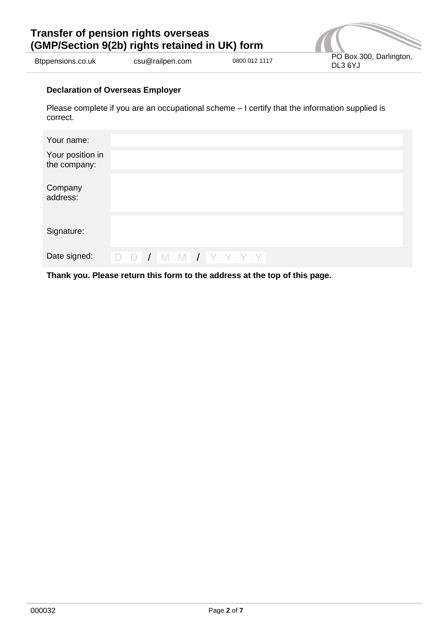# **Transfer of pension rights overseas (GMP/Section 9(2b) rights retained in UK) form**



External community contracts contract the community csu@railpen.com 0800 012 1117 PO Box 300, Darlington,

## **Declaration of Overseas Employer**

Please complete if you are an occupational scheme – I certify that the information supplied is correct.

| Your name:                       |  |                     |  |  |
|----------------------------------|--|---------------------|--|--|
| Your position in<br>the company: |  |                     |  |  |
| Company<br>address:              |  |                     |  |  |
| Signature:                       |  |                     |  |  |
| Date signed:                     |  | $D D J M M J Y Y Y$ |  |  |

**Thank you. Please return this form to the address at the top of this page.**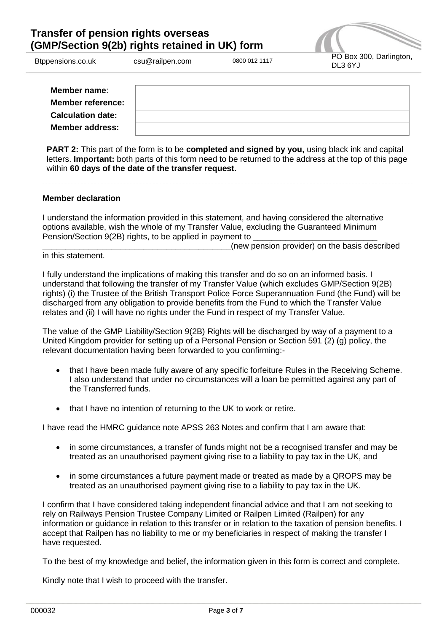## **Transfer of pension rights overseas (GMP/Section 9(2b) rights retained in UK) form**



| Member name:             |  |
|--------------------------|--|
| <b>Member reference:</b> |  |
| <b>Calculation date:</b> |  |
| <b>Member address:</b>   |  |

**PART 2:** This part of the form is to be **completed and signed by you,** using black ink and capital letters. **Important:** both parts of this form need to be returned to the address at the top of this page within **60 days of the date of the transfer request.**

## **Member declaration**

I understand the information provided in this statement, and having considered the alternative options available, wish the whole of my Transfer Value, excluding the Guaranteed Minimum Pension/Section 9(2B) rights, to be applied in payment to

(new pension provider) on the basis described

in this statement.

I fully understand the implications of making this transfer and do so on an informed basis. I understand that following the transfer of my Transfer Value (which excludes GMP/Section 9(2B) rights) (i) the Trustee of the British Transport Police Force Superannuation Fund (the Fund) will be discharged from any obligation to provide benefits from the Fund to which the Transfer Value relates and (ii) I will have no rights under the Fund in respect of my Transfer Value.

The value of the GMP Liability/Section 9(2B) Rights will be discharged by way of a payment to a United Kingdom provider for setting up of a Personal Pension or Section 591 (2) (g) policy, the relevant documentation having been forwarded to you confirming:-

- that I have been made fully aware of any specific forfeiture Rules in the Receiving Scheme. I also understand that under no circumstances will a loan be permitted against any part of the Transferred funds.
- that I have no intention of returning to the UK to work or retire.

I have read the HMRC guidance note APSS 263 Notes and confirm that I am aware that:

- in some circumstances, a transfer of funds might not be a recognised transfer and may be treated as an unauthorised payment giving rise to a liability to pay tax in the UK, and
- in some circumstances a future payment made or treated as made by a QROPS may be treated as an unauthorised payment giving rise to a liability to pay tax in the UK.

I confirm that I have considered taking independent financial advice and that I am not seeking to rely on Railways Pension Trustee Company Limited or Railpen Limited (Railpen) for any information or guidance in relation to this transfer or in relation to the taxation of pension benefits. I accept that Railpen has no liability to me or my beneficiaries in respect of making the transfer I have requested.

To the best of my knowledge and belief, the information given in this form is correct and complete.

Kindly note that I wish to proceed with the transfer.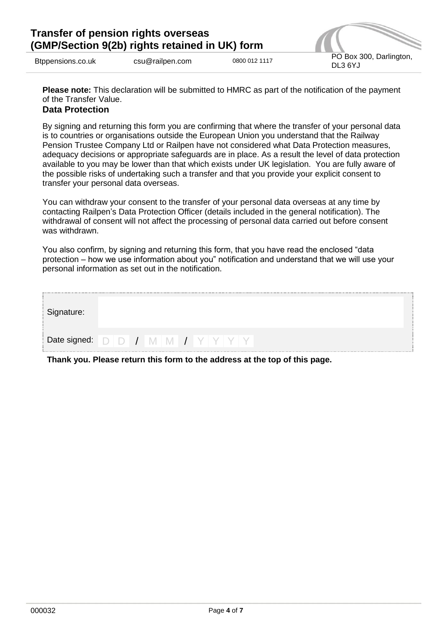

**Please note:** This declaration will be submitted to HMRC as part of the notification of the payment of the Transfer Value.

## **Data Protection**

By signing and returning this form you are confirming that where the transfer of your personal data is to countries or organisations outside the European Union you understand that the Railway Pension Trustee Company Ltd or Railpen have not considered what Data Protection measures, adequacy decisions or appropriate safeguards are in place. As a result the level of data protection available to you may be lower than that which exists under UK legislation. You are fully aware of the possible risks of undertaking such a transfer and that you provide your explicit consent to transfer your personal data overseas.

You can withdraw your consent to the transfer of your personal data overseas at any time by contacting Railpen's Data Protection Officer (details included in the general notification). The withdrawal of consent will not affect the processing of personal data carried out before consent was withdrawn.

You also confirm, by signing and returning this form, that you have read the enclosed "data protection – how we use information about you" notification and understand that we will use your personal information as set out in the notification.

| Signature: |  |  |  |
|------------|--|--|--|
|            |  |  |  |

**Thank you. Please return this form to the address at the top of this page.**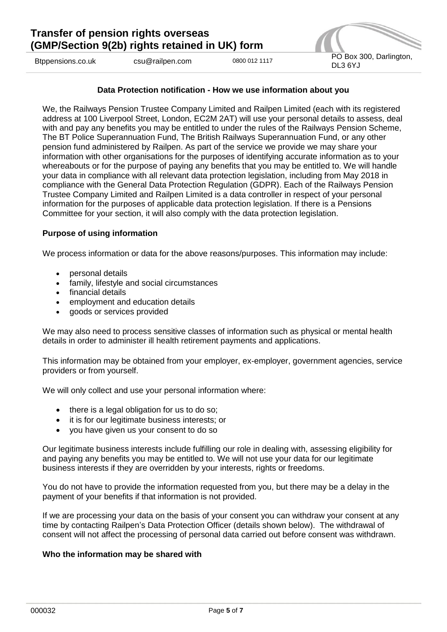

#### **Data Protection notification - How we use information about you**

We, the Railways Pension Trustee Company Limited and Railpen Limited (each with its registered address at 100 Liverpool Street, London, EC2M 2AT) will use your personal details to assess, deal with and pay any benefits you may be entitled to under the rules of the Railways Pension Scheme, The BT Police Superannuation Fund, The British Railways Superannuation Fund, or any other pension fund administered by Railpen. As part of the service we provide we may share your information with other organisations for the purposes of identifying accurate information as to your whereabouts or for the purpose of paying any benefits that you may be entitled to. We will handle your data in compliance with all relevant data protection legislation, including from May 2018 in compliance with the General Data Protection Regulation (GDPR). Each of the Railways Pension Trustee Company Limited and Railpen Limited is a data controller in respect of your personal information for the purposes of applicable data protection legislation. If there is a Pensions Committee for your section, it will also comply with the data protection legislation.

#### **Purpose of using information**

We process information or data for the above reasons/purposes. This information may include:

- personal details
- family, lifestyle and social circumstances
- financial details
- employment and education details
- goods or services provided

We may also need to process sensitive classes of information such as physical or mental health details in order to administer ill health retirement payments and applications.

This information may be obtained from your employer, ex-employer, government agencies, service providers or from yourself.

We will only collect and use your personal information where:

- $\bullet$  there is a legal obligation for us to do so;
- it is for our legitimate business interests; or
- vou have given us your consent to do so

Our legitimate business interests include fulfilling our role in dealing with, assessing eligibility for and paying any benefits you may be entitled to. We will not use your data for our legitimate business interests if they are overridden by your interests, rights or freedoms.

You do not have to provide the information requested from you, but there may be a delay in the payment of your benefits if that information is not provided.

If we are processing your data on the basis of your consent you can withdraw your consent at any time by contacting Railpen's Data Protection Officer (details shown below). The withdrawal of consent will not affect the processing of personal data carried out before consent was withdrawn.

#### **Who the information may be shared with**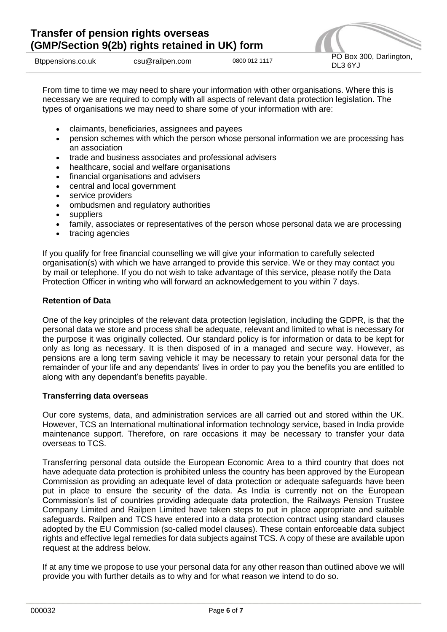

From time to time we may need to share your information with other organisations. Where this is necessary we are required to comply with all aspects of relevant data protection legislation. The types of organisations we may need to share some of your information with are:

- claimants, beneficiaries, assignees and payees
- pension schemes with which the person whose personal information we are processing has an association
- trade and business associates and professional advisers
- healthcare, social and welfare organisations
- financial organisations and advisers
- central and local government
- service providers
- ombudsmen and regulatory authorities
- suppliers
- family, associates or representatives of the person whose personal data we are processing
- tracing agencies

If you qualify for free financial counselling we will give your information to carefully selected organisation(s) with which we have arranged to provide this service. We or they may contact you by mail or telephone. If you do not wish to take advantage of this service, please notify the Data Protection Officer in writing who will forward an acknowledgement to you within 7 days.

## **Retention of Data**

One of the key principles of the relevant data protection legislation, including the GDPR, is that the personal data we store and process shall be adequate, relevant and limited to what is necessary for the purpose it was originally collected. Our standard policy is for information or data to be kept for only as long as necessary. It is then disposed of in a managed and secure way. However, as pensions are a long term saving vehicle it may be necessary to retain your personal data for the remainder of your life and any dependants' lives in order to pay you the benefits you are entitled to along with any dependant's benefits payable.

#### **Transferring data overseas**

Our core systems, data, and administration services are all carried out and stored within the UK. However, TCS an International multinational information technology service, based in India provide maintenance support. Therefore, on rare occasions it may be necessary to transfer your data overseas to TCS.

Transferring personal data outside the European Economic Area to a third country that does not have adequate data protection is prohibited unless the country has been approved by the European Commission as providing an adequate level of data protection or adequate safeguards have been put in place to ensure the security of the data. As India is currently not on the European Commission's list of countries providing adequate data protection, the Railways Pension Trustee Company Limited and Railpen Limited have taken steps to put in place appropriate and suitable safeguards. Railpen and TCS have entered into a data protection contract using standard clauses adopted by the EU Commission (so-called model clauses). These contain enforceable data subject rights and effective legal remedies for data subjects against TCS. A copy of these are available upon request at the address below.

If at any time we propose to use your personal data for any other reason than outlined above we will provide you with further details as to why and for what reason we intend to do so.